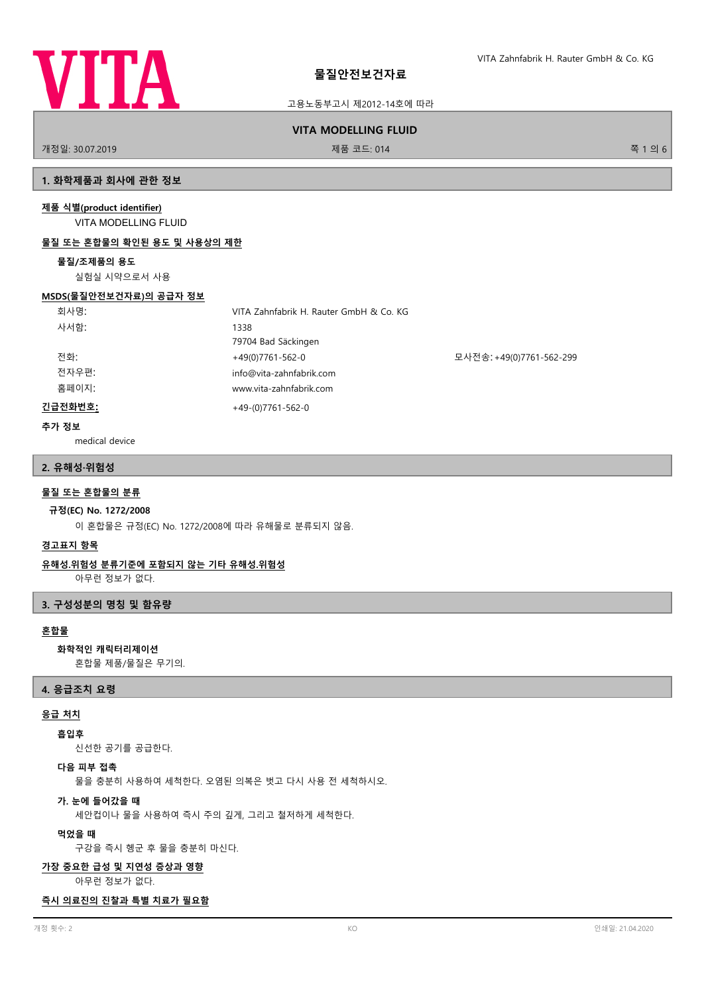

고용노동부고시 제2012-14호에 따라

# **VITA MODELLING FLUID**

개정일: 30.07.2019 제품 코드: 014 쪽 1 의 6

## **1. 화학제품과 회사에 관한 정보**

## **제품 식별(product identifier)**

VITA MODELLING FLUID

## **물질 또는 혼합물의 확인된 용도 및 사용상의 제한**

#### **물질/조제품의 용도**

실험실 시약으로서 사용

#### **MSDS(물질안전보건자료)의 공급자 정보**

| 회사명:    | VITA Zahnfabrik H. Rauter GmbH & Co. KG |                          |
|---------|-----------------------------------------|--------------------------|
| 사서함:    | 1338                                    |                          |
|         | 79704 Bad Säckingen                     |                          |
| 전화:     | $+49(0)7761-562-0$                      | 모사전송: +49(0)7761-562-299 |
| 전자우편:   | info@vita-zahnfabrik.com                |                          |
| 홈페이지:   | www.vita-zahnfabrik.com                 |                          |
| 긴급전화번호: | $+49-(0)7761-562-0$                     |                          |

## **추가 정보**

medical device

## **2. 유해성·위험성**

## **물질 또는 혼합물의 분류**

## **규정(EC) No. 1272/2008**

이 혼합물은 규정(EC) No. 1272/2008에 따라 유해물로 분류되지 않음.

## **경고표지 항목**

## **유해성.위험성 분류기준에 포함되지 않는 기타 유해성.위험성**

아무런 정보가 없다.

## **3. 구성성분의 명칭 및 함유량**

## **혼합물**

## **화학적인 캐릭터리제이션**

혼합물 제품/물질은 무기의.

#### **4. 응급조치 요령**

## **응급 처치**

## **흡입후**

신선한 공기를 공급한다.

## **다음 피부 접촉**

물을 충분히 사용하여 세척한다. 오염된 의복은 벗고 다시 사용 전 세척하시오.

#### **가. 눈에 들어갔을 때**

세안컵이나 물을 사용하여 즉시 주의 깊게, 그리고 철저하게 세척한다.

#### **먹었을 때**

구강을 즉시 헹군 후 물을 충분히 마신다.

#### **가장 중요한 급성 및 지연성 증상과 영향**

아무런 정보가 없다.

#### **즉시 의료진의 진찰과 특별 치료가 필요함**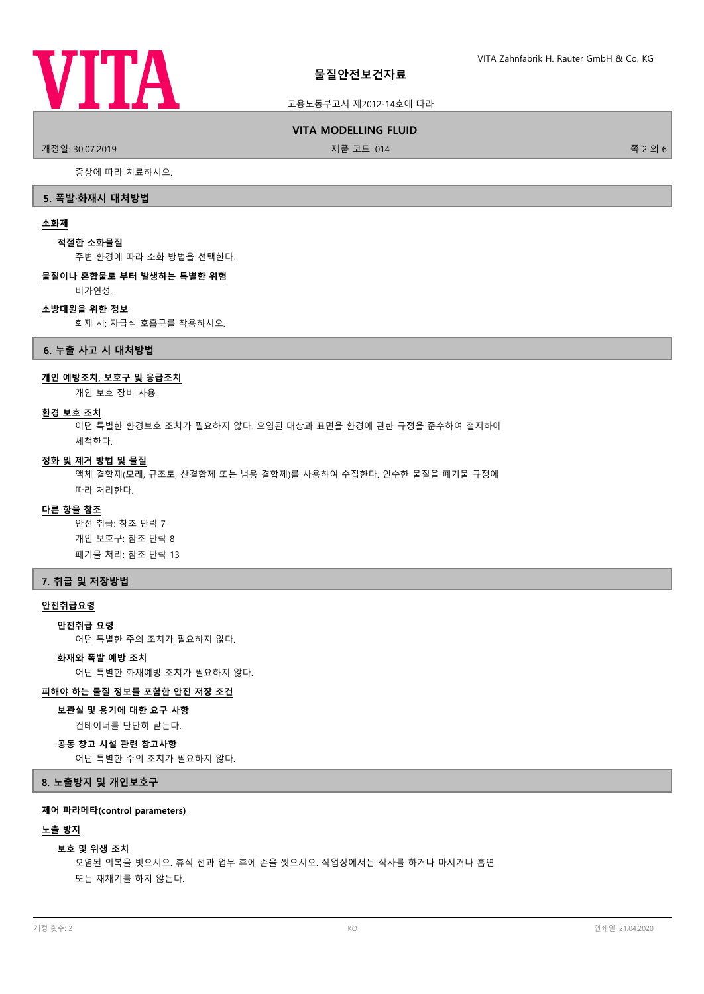

## 고용노동부고시 제2012-14호에 따라

#### **VITA MODELLING FLUID**

.<br>개정일: 30.07.2019 제품 프로그램 제품 코드: 014 THE 2016 A. 제품 코드: 014 THE 2016 A. 제품 코드: 014 THE 2016 A. 제품 기

증상에 따라 치료하시오.

#### **5. 폭발·화재시 대처방법**

#### **소화제**

#### **적절한 소화물질**

주변 환경에 따라 소화 방법을 선택한다.

## **물질이나 혼합물로 부터 발생하는 특별한 위험**

비가연성.

## **소방대원을 위한 정보**

화재 시: 자급식 호흡구를 착용하시오.

#### **6. 누출 사고 시 대처방법**

## **개인 예방조치, 보호구 및 응급조치**

개인 보호 장비 사용.

## **환경 보호 조치**

어떤 특별한 환경보호 조치가 필요하지 않다. 오염된 대상과 표면을 환경에 관한 규정을 준수하여 철저하에 세척한다.

#### **정화 및 제거 방법 및 물질**

액체 결합재(모래, 규조토, 산결합제 또는 범용 결합제)를 사용하여 수집한다. 인수한 물질을 폐기물 규정에 따라 처리한다.

## **다른 항을 참조**

안전 취급: 참조 단락 7 개인 보호구: 참조 단락 8 폐기물 처리: 참조 단락 13

## **7. 취급 및 저장방법**

#### **안전취급요령**

**안전취급 요령**

어떤 특별한 주의 조치가 필요하지 않다.

# **화재와 폭발 예방 조치**

어떤 특별한 화재예방 조치가 필요하지 않다.

#### **피해야 하는 물질 정보를 포함한 안전 저장 조건**

## **보관실 및 용기에 대한 요구 사항**

컨테이너를 단단히 닫는다.

# **공동 창고 시설 관련 참고사항**

어떤 특별한 주의 조치가 필요하지 않다.

## **8. 노출방지 및 개인보호구**

## **제어 파라메타(control parameters)**

### **노출 방지**

#### **보호 및 위생 조치**

오염된 의복을 벗으시오. 휴식 전과 업무 후에 손을 씻으시오. 작업장에서는 식사를 하거나 마시거나 흡연 또는 재채기를 하지 않는다.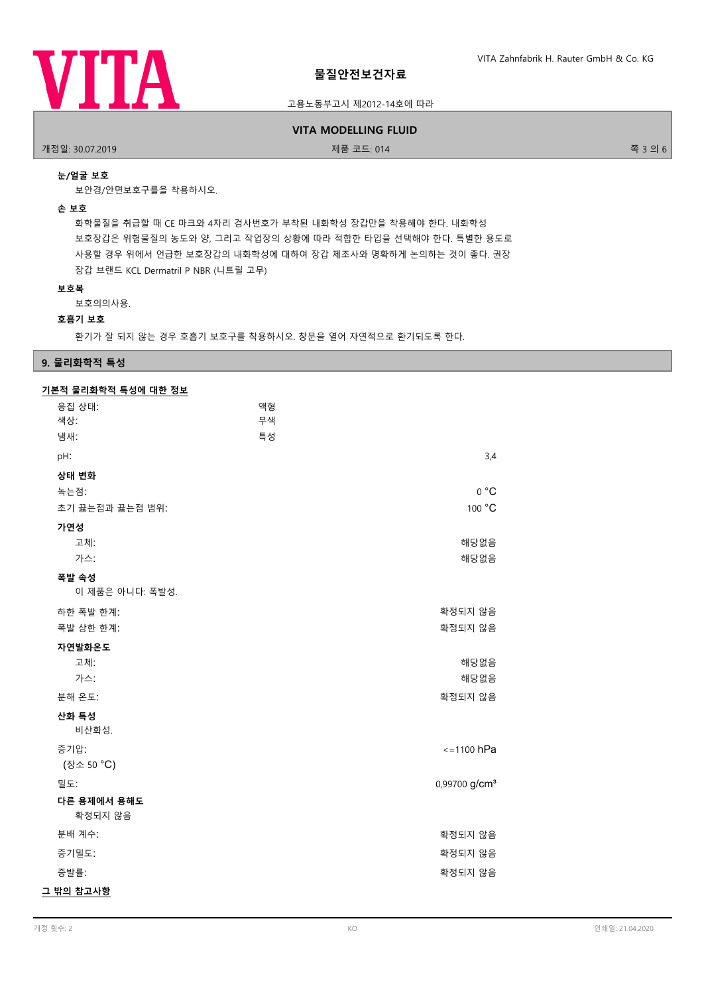

## 고용노동부고시 제2012-14호에 따라

## **VITA MODELLING FLUID**

개정일: 30.07.2019 제품 코드: 014 쪽 3 의 6

## **눈/얼굴 보호**

보안경/안면보호구를을 착용하시오.

#### **손 보호**

화학물질을 취급할 때 CE 마크와 4자리 검사번호가 부착된 내화학성 장갑만을 착용해야 한다. 내화학성 보호장갑은 위험물질의 농도와 양, 그리고 작업장의 상황에 따라 적합한 타입을 선택해야 한다. 특별한 용도로 사용할 경우 위에서 언급한 보호장갑의 내화학성에 대하여 장갑 제조사와 명확하게 논의하는 것이 좋다. 권장 장갑 브랜드 KCL Dermatril P NBR (니트릴 고무)

#### **보호복**

보호의의사용.

## **호흡기 보호**

환기가 잘 되지 않는 경우 호흡기 보호구를 착용하시오. 창문을 열어 자연적으로 환기되도록 한다.

## **9. 물리화학적 특성**

| 기본적 물리화학적 특성에 대한 정보 |
|---------------------|
|---------------------|

| <u> 기도로 클릭된고고 국어에 해요. O프</u> |    |                           |
|------------------------------|----|---------------------------|
| 응집 상태:                       | 액형 |                           |
| 색상:                          | 무색 |                           |
| 냄새:                          | 특성 |                           |
| pH:                          |    | 3,4                       |
| 상태 변화                        |    |                           |
| 녹는점:                         |    | 0 °C                      |
| 초기 끓는점과 끓는점 범위:              |    | 100 °C                    |
| 가연성                          |    |                           |
| 고체:                          |    | 해당없음                      |
| 가스:                          |    | 해당없음                      |
| 폭발 속성                        |    |                           |
| 이 제품은 아니다: 폭발성.              |    |                           |
| 하한 폭발 한계:                    |    | 확정되지 않음                   |
| 폭발 상한 한계:                    |    | 확정되지 않음                   |
| 자연발화온도                       |    |                           |
| 고체:                          |    | 해당없음                      |
| 가스:                          |    | 해당없음                      |
| 분해 온도:                       |    | 확정되지 않음                   |
| 산화 특성                        |    |                           |
| 비산화성.                        |    |                           |
| 증기압:                         |    | $\le$ =1100 hPa           |
| (장소 50 °C)                   |    |                           |
| 밀도:                          |    | 0,99700 g/cm <sup>3</sup> |
| 다른 용제에서 용해도<br>확정되지 않음       |    |                           |
| 분배 계수:                       |    | 확정되지 않음                   |
| 증기밀도:                        |    | 확정되지 않음                   |
| 증발률:                         |    | 확정되지 않음                   |
| 그 밖의 참고사항                    |    |                           |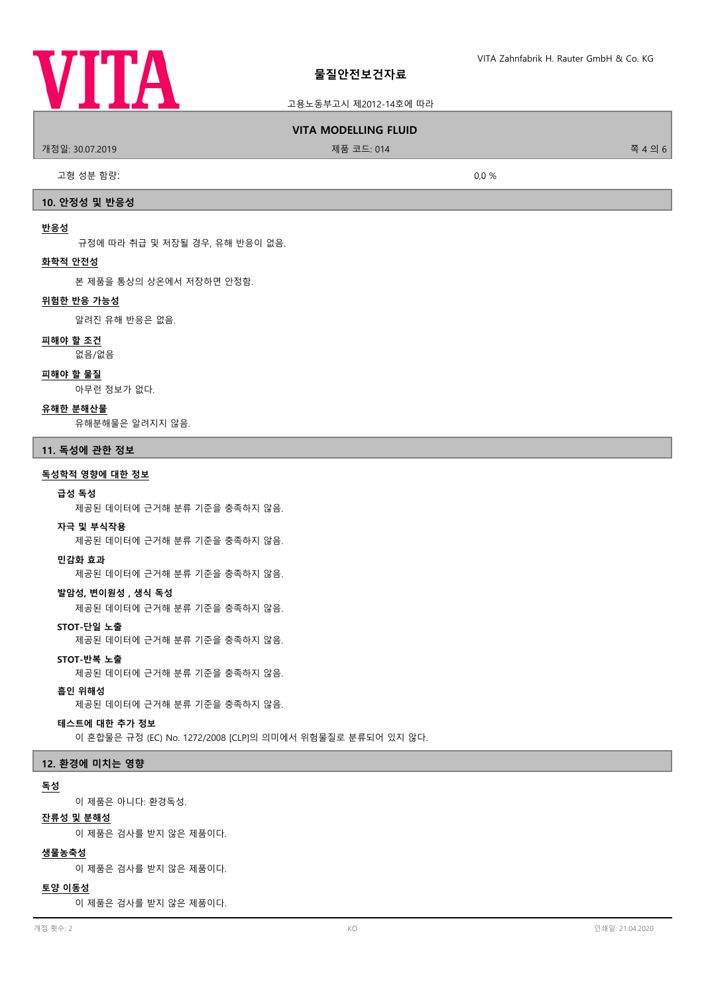

## 고용노동부고시 제2012-14호에 따라

#### **VITA MODELLING FLUID**

개정일: 30.07.2019 제품 코드: 014 쪽 4 의 6

고형 성분 함량: 0,0 %

# **10. 안정성 및 반응성**

#### **반응성**

규정에 따라 취급 및 저장될 경우, 유해 반응이 없음.

## **화학적 안전성**

본 제품을 통상의 상온에서 저장하면 안정함.

## **위험한 반응 가능성**

알려진 유해 반응은 없음.

#### **피해야 할 조건**

없음/없음

#### **피해야 할 물질**

아무런 정보가 없다.

#### **유해한 분해산물**

유해분해물은 알려지지 않음.

#### **11. 독성에 관한 정보**

#### **독성학적 영향에 대한 정보**

#### **급성 독성**

제공된 데이터에 근거해 분류 기준을 충족하지 않음.

#### **자극 및 부식작용**

제공된 데이터에 근거해 분류 기준을 충족하지 않음.

#### **민감화 효과**

제공된 데이터에 근거해 분류 기준을 충족하지 않음.

## **발암성, 변이원성 , 생식 독성**

제공된 데이터에 근거해 분류 기준을 충족하지 않음.

### **STOT-단일 노출**

제공된 데이터에 근거해 분류 기준을 충족하지 않음.

## **STOT-반복 노출**

제공된 데이터에 근거해 분류 기준을 충족하지 않음.

#### **흡인 위해성**

제공된 데이터에 근거해 분류 기준을 충족하지 않음.

## **테스트에 대한 추가 정보**

이 혼합물은 규정 (EC) No. 1272/2008 [CLP]의 의미에서 위험물질로 분류되어 있지 않다.

#### **12. 환경에 미치는 영향**

## **독성**

이 제품은 아니다: 환경독성.

## **잔류성 및 분해성**

이 제품은 검사를 받지 않은 제품이다.

#### **생물농축성**

이 제품은 검사를 받지 않은 제품이다.

#### **토양 이동성**

이 제품은 검사를 받지 않은 제품이다.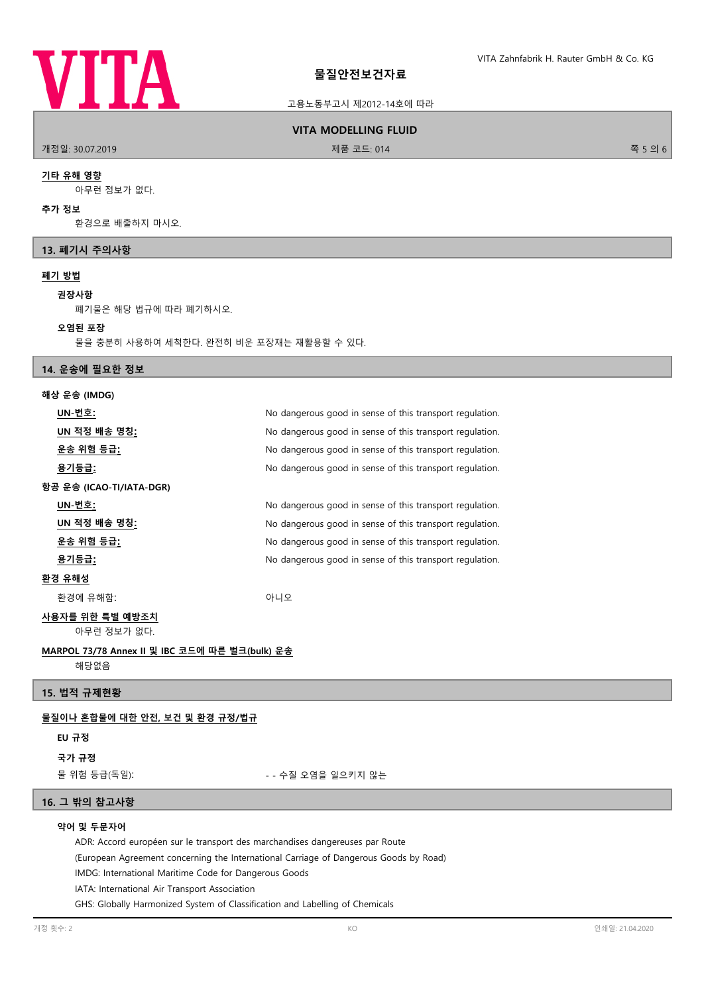

## 고용노동부고시 제2012-14호에 따라

#### **VITA MODELLING FLUID**

.<br>개정일: 30.07.2019 청소 - 대한민국의 대한민국의 대한민국의 대한민국의 제품 코드: 014 출시 11 개 정보 - 대한민국의 대한민국의 대한민국의 축 5 의 6

#### **기타 유해 영향**

아무런 정보가 없다.

#### **추가 정보**

환경으로 배출하지 마시오.

## **13. 폐기시 주의사항**

## **폐기 방법**

#### **권장사항**

폐기물은 해당 법규에 따라 폐기하시오.

#### **오염된 포장**

물을 충분히 사용하여 세척한다. 완전히 비운 포장재는 재활용할 수 있다.

# **14. 운송에 필요한 정보**

| 해상 운송 (IMDG)                   |                                                          |
|--------------------------------|----------------------------------------------------------|
| UN-번호:                         | No dangerous good in sense of this transport regulation. |
| UN 적정 배송 명칭 <u>:</u>           | No dangerous good in sense of this transport regulation. |
| <u>운송 위험 등급:</u>               | No dangerous good in sense of this transport regulation. |
| <u>용기등급:</u>                   | No dangerous good in sense of this transport regulation. |
| 항공 운송 (ICAO-TI/IATA-DGR)       |                                                          |
| UN-번호:                         | No dangerous good in sense of this transport regulation. |
| UN 적정 배송 명칭 <u>:</u>           | No dangerous good in sense of this transport regulation. |
| <u>운송 위험 등급:</u>               | No dangerous good in sense of this transport regulation. |
| <u>용기등급:</u>                   | No dangerous good in sense of this transport regulation. |
| <u>환경 유해성</u>                  |                                                          |
| 환경에 유해함:                       | 아니오                                                      |
| 사용자를 위한 특별 예방조치<br>아무런 정보가 없다. |                                                          |
|                                |                                                          |

## **MARPOL 73/78 Annex II 및 IBC 코드에 따른 벌크(bulk) 운송** 해당없음

**15. 법적 규제현황**

## **물질이나 혼합물에 대한 안전, 보건 및 환경 규정/법규**

## **EU 규정**

**국가 규정**

물 위험 등급(독일): - - 수질 오염을 일으키지 않는

#### **16. 그 밖의 참고사항**

## **약어 및 두문자어**

ADR: Accord européen sur le transport des marchandises dangereuses par Route

(European Agreement concerning the International Carriage of Dangerous Goods by Road)

IMDG: International Maritime Code for Dangerous Goods

IATA: International Air Transport Association

GHS: Globally Harmonized System of Classification and Labelling of Chemicals